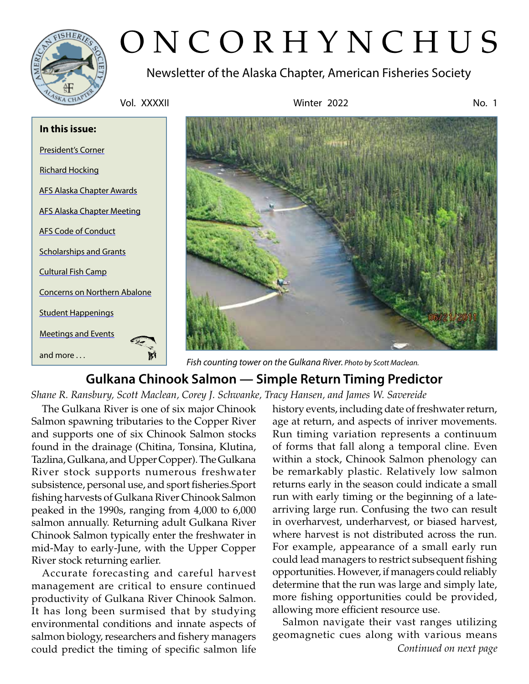

# ONCORHYNCHUS

Newsletter of the Alaska Chapter, American Fisheries Society

Vol. XXXXII Winter 2022 No. 1





*Fish counting tower on the Gulkana River. Photo by Scott Maclean.*

# **Gulkana Chinook Salmon — Simple Return Timing Predictor**

*Shane R. Ransbury, Scott Maclean, Corey J. Schwanke, Tracy Hansen, and James W. Savereide*

The Gulkana River is one of six major Chinook Salmon spawning tributaries to the Copper River and supports one of six Chinook Salmon stocks found in the drainage (Chitina, Tonsina, Klutina, Tazlina, Gulkana, and Upper Copper). The Gulkana River stock supports numerous freshwater subsistence, personal use, and sport fisheries.Sport fishing harvests of Gulkana River Chinook Salmon peaked in the 1990s, ranging from 4,000 to 6,000 salmon annually. Returning adult Gulkana River Chinook Salmon typically enter the freshwater in mid-May to early-June, with the Upper Copper River stock returning earlier.

Accurate forecasting and careful harvest management are critical to ensure continued productivity of Gulkana River Chinook Salmon. It has long been surmised that by studying environmental conditions and innate aspects of salmon biology, researchers and fishery managers could predict the timing of specific salmon life history events, including date of freshwater return, age at return, and aspects of inriver movements. Run timing variation represents a continuum of forms that fall along a temporal cline. Even within a stock, Chinook Salmon phenology can be remarkably plastic. Relatively low salmon returns early in the season could indicate a small run with early timing or the beginning of a latearriving large run. Confusing the two can result in overharvest, underharvest, or biased harvest, where harvest is not distributed across the run. For example, appearance of a small early run could lead managers to restrict subsequent fishing opportunities. However, if managers could reliably determine that the run was large and simply late, more fishing opportunities could be provided, allowing more efficient resource use.

*Continued on next page* Salmon navigate their vast ranges utilizing geomagnetic cues along with various means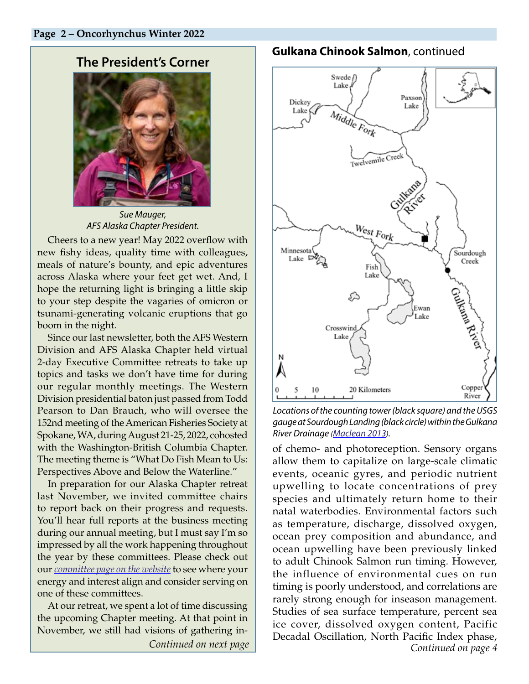# <span id="page-1-0"></span>**The President's Corner**



*Sue Mauger, AFS Alaska Chapter President.* 

Cheers to a new year! May 2022 overflow with new fishy ideas, quality time with colleagues, meals of nature's bounty, and epic adventures across Alaska where your feet get wet. And, I hope the returning light is bringing a little skip to your step despite the vagaries of omicron or tsunami-generating volcanic eruptions that go boom in the night.

Since our last newsletter, both the AFS Western Division and AFS Alaska Chapter held virtual 2-day Executive Committee retreats to take up topics and tasks we don't have time for during our regular monthly meetings. The Western Division presidential baton just passed from Todd Pearson to Dan Brauch, who will oversee the 152nd meeting of the American Fisheries Society at Spokane, WA, during August 21-25, 2022, cohosted with the Washington-British Columbia Chapter. The meeting theme is "What Do Fish Mean to Us: Perspectives Above and Below the Waterline."

In preparation for our Alaska Chapter retreat last November, we invited committee chairs to report back on their progress and requests. You'll hear full reports at the business meeting during our annual meeting, but I must say I'm so impressed by all the work happening throughout the year by these committees. Please check out our *[committee page on the website](https://afs-alaska.org/about-us/committees/)* to see where your energy and interest align and consider serving on one of these committees.

At our retreat, we spent a lot of time discussing the upcoming Chapter meeting. At that point in November, we still had visions of gathering in-*Continued on next page*

## **Gulkana Chinook Salmon**, continued



*Locations of the counting tower (black square) and the USGS gauge at Sourdough Landing (black circle) within the Gulkana River Drainage [\(Maclean 2013](http://www.adfg.alaska.gov/FedAidPDFs/FDS13-07.pdf)).*

of chemo- and photoreception. Sensory organs allow them to capitalize on large-scale climatic events, oceanic gyres, and periodic nutrient upwelling to locate concentrations of prey species and ultimately return home to their natal waterbodies. Environmental factors such as temperature, discharge, dissolved oxygen, ocean prey composition and abundance, and ocean upwelling have been previously linked to adult Chinook Salmon run timing. However, the influence of environmental cues on run timing is poorly understood, and correlations are rarely strong enough for inseason management. Studies of sea surface temperature, percent sea ice cover, dissolved oxygen content, Pacific Decadal Oscillation, North Pacific Index phase, *Continued on page 4*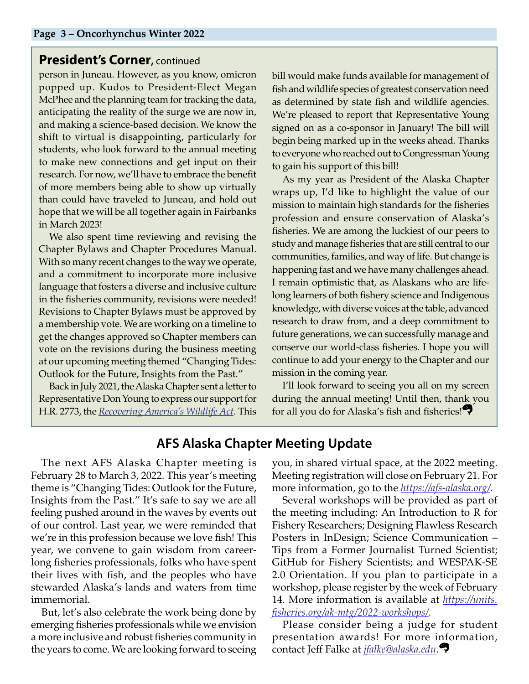### **President's Corner, continued**

person in Juneau. However, as you know, omicron popped up. Kudos to President-Elect Megan McPhee and the planning team for tracking the data, anticipating the reality of the surge we are now in, and making a science-based decision. We know the shift to virtual is disappointing, particularly for students, who look forward to the annual meeting to make new connections and get input on their research. For now, we'll have to embrace the benefit of more members being able to show up virtually than could have traveled to Juneau, and hold out hope that we will be all together again in Fairbanks in March 2023!

We also spent time reviewing and revising the Chapter Bylaws and Chapter Procedures Manual. With so many recent changes to the way we operate, and a commitment to incorporate more inclusive language that fosters a diverse and inclusive culture in the fisheries community, revisions were needed! Revisions to Chapter Bylaws must be approved by a membership vote. We are working on a timeline to get the changes approved so Chapter members can vote on the revisions during the business meeting at our upcoming meeting themed "Changing Tides: Outlook for the Future, Insights from the Past."

Back in July 2021, the Alaska Chapter sent a letter to Representative Don Young to express our support for H.R. 2773, the *[Recovering America's Wildlife Act](https://www.congress.gov/bill/117th-congress/house-bill/2773/)*. This bill would make funds available for management of fish and wildlife species of greatest conservation need as determined by state fish and wildlife agencies. We're pleased to report that Representative Young signed on as a co-sponsor in January! The bill will begin being marked up in the weeks ahead. Thanks to everyone who reached out to Congressman Young to gain his support of this bill!

As my year as President of the Alaska Chapter wraps up, I'd like to highlight the value of our mission to maintain high standards for the fisheries profession and ensure conservation of Alaska's fisheries. We are among the luckiest of our peers to study and manage fisheries that are still central to our communities, families, and way of life. But change is happening fast and we have many challenges ahead. I remain optimistic that, as Alaskans who are lifelong learners of both fishery science and Indigenous knowledge, with diverse voices at the table, advanced research to draw from, and a deep commitment to future generations, we can successfully manage and conserve our world-class fisheries. I hope you will continue to add your energy to the Chapter and our mission in the coming year.

I'll look forward to seeing you all on my screen during the annual meeting! Until then, thank you for all you do for Alaska's fish and fisheries!

## **AFS Alaska Chapter Meeting Update**

The next AFS Alaska Chapter meeting is February 28 to March 3, 2022. This year's meeting theme is "Changing Tides: Outlook for the Future, Insights from the Past." It's safe to say we are all feeling pushed around in the waves by events out of our control. Last year, we were reminded that we're in this profession because we love fish! This year, we convene to gain wisdom from careerlong fisheries professionals, folks who have spent their lives with fish, and the peoples who have stewarded Alaska's lands and waters from time immemorial.

But, let's also celebrate the work being done by emerging fisheries professionals while we envision a more inclusive and robust fisheries community in the years to come. We are looking forward to seeing

<span id="page-2-0"></span>you, in shared virtual space, at the 2022 meeting. Meeting registration will close on February 21. For more information, go to the *<https://afs-alaska.org/>*.

Several workshops will be provided as part of the meeting including: An Introduction to R for Fishery Researchers; Designing Flawless Research Posters in InDesign; Science Communication – Tips from a Former Journalist Turned Scientist; GitHub for Fishery Scientists; and WESPAK-SE 2.0 Orientation. If you plan to participate in a workshop, please register by the week of February 14. More information is available at *[https://units.](https://units.fisheries.org/ak-mtg/2022-workshops/) [fisheries.org/ak-mtg/2022-workshops/](https://units.fisheries.org/ak-mtg/2022-workshops/)*.

Please consider being a judge for student presentation awards! For more information, contact Jeff Falke at *[jfalke@alaska.edu](mailto:jfalke%40alaska.edu?subject=)*.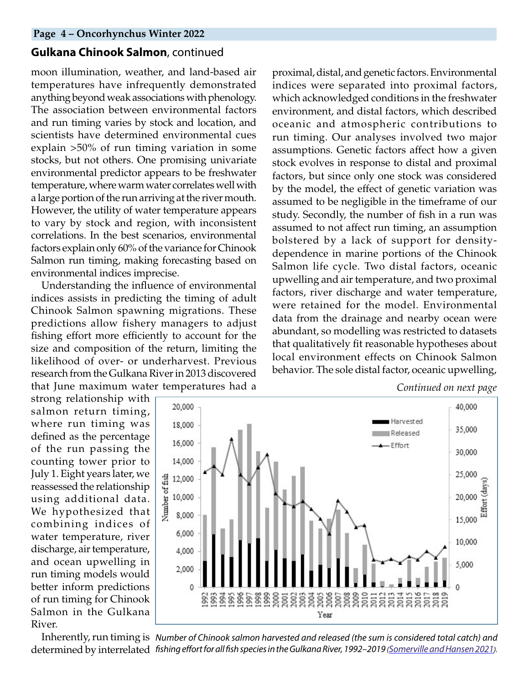#### **Gulkana Chinook Salmon**, continued

moon illumination, weather, and land-based air temperatures have infrequently demonstrated anything beyond weak associations with phenology. The association between environmental factors and run timing varies by stock and location, and scientists have determined environmental cues explain >50% of run timing variation in some stocks, but not others. One promising univariate environmental predictor appears to be freshwater temperature, where warm water correlates well with a large portion of the run arriving at the river mouth. However, the utility of water temperature appears to vary by stock and region, with inconsistent correlations. In the best scenarios, environmental factors explain only 60% of the variance for Chinook Salmon run timing, making forecasting based on environmental indices imprecise.

Understanding the influence of environmental indices assists in predicting the timing of adult Chinook Salmon spawning migrations. These predictions allow fishery managers to adjust fishing effort more efficiently to account for the size and composition of the return, limiting the likelihood of over- or underharvest. Previous research from the Gulkana River in 2013 discovered that June maximum water temperatures had a

proximal, distal, and genetic factors. Environmental indices were separated into proximal factors, which acknowledged conditions in the freshwater environment, and distal factors, which described oceanic and atmospheric contributions to run timing. Our analyses involved two major assumptions. Genetic factors affect how a given stock evolves in response to distal and proximal factors, but since only one stock was considered by the model, the effect of genetic variation was assumed to be negligible in the timeframe of our study. Secondly, the number of fish in a run was assumed to not affect run timing, an assumption bolstered by a lack of support for densitydependence in marine portions of the Chinook Salmon life cycle. Two distal factors, oceanic upwelling and air temperature, and two proximal factors, river discharge and water temperature, were retained for the model. Environmental data from the drainage and nearby ocean were abundant, so modelling was restricted to datasets that qualitatively fit reasonable hypotheses about local environment effects on Chinook Salmon behavior. The sole distal factor, oceanic upwelling,

strong relationship with salmon return timing, where run timing was defined as the percentage of the run passing the counting tower prior to July 1. Eight years later, we reassessed the relationship using additional data. We hypothesized that combining indices of water temperature, river discharge, air temperature, and ocean upwelling in run timing models would better inform predictions of run timing for Chinook Salmon in the Gulkana

River.



Inherently, run timing is *Number of Chinook salmon harvested and released (the sum is considered total catch) and*  determined by interrelated *fishing effort for all fish species in the Gulkana River, 1992–2019 [\(Somerville and Hansen 2021\)](http://www.adfg.alaska.gov/FedAidPDFs/FMR21-07.pdf).*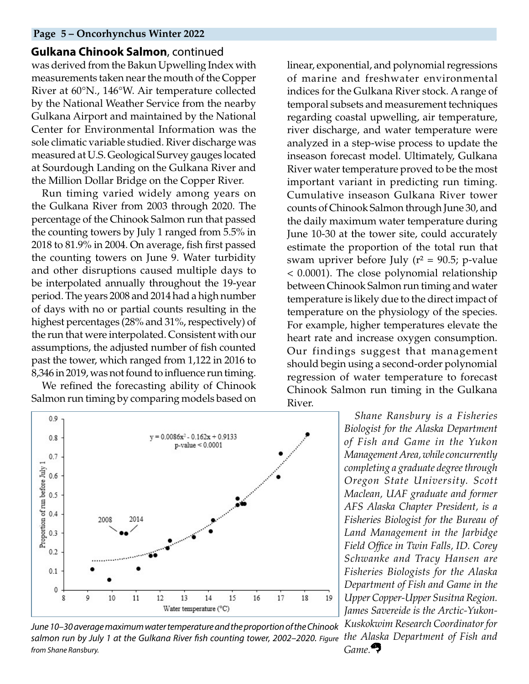#### **Page 5 – Oncorhynchus Winter 2022**

#### **Gulkana Chinook Salmon**, continued

was derived from the Bakun Upwelling Index with measurements taken near the mouth of the Copper River at 60°N., 146°W. Air temperature collected by the National Weather Service from the nearby Gulkana Airport and maintained by the National Center for Environmental Information was the sole climatic variable studied. River discharge was measured at U.S. Geological Survey gauges located at Sourdough Landing on the Gulkana River and the Million Dollar Bridge on the Copper River.

Run timing varied widely among years on the Gulkana River from 2003 through 2020. The percentage of the Chinook Salmon run that passed the counting towers by July 1 ranged from 5.5% in 2018 to 81.9% in 2004. On average, fish first passed the counting towers on June 9. Water turbidity and other disruptions caused multiple days to be interpolated annually throughout the 19-year period. The years 2008 and 2014 had a high number of days with no or partial counts resulting in the highest percentages (28% and 31%, respectively) of the run that were interpolated. Consistent with our assumptions, the adjusted number of fish counted past the tower, which ranged from 1,122 in 2016 to 8,346 in 2019, was not found to influence run timing.

We refined the forecasting ability of Chinook Salmon run timing by comparing models based on



*June 10–30 average maximum water temperature and the proportion of the Chinook salmon run by July 1 at the Gulkana River fish counting tower, 2002–2020. Figure from Shane Ransbury.*

linear, exponential, and polynomial regressions of marine and freshwater environmental indices for the Gulkana River stock. A range of temporal subsets and measurement techniques regarding coastal upwelling, air temperature, river discharge, and water temperature were analyzed in a step-wise process to update the inseason forecast model. Ultimately, Gulkana River water temperature proved to be the most important variant in predicting run timing. Cumulative inseason Gulkana River tower counts of Chinook Salmon through June 30, and the daily maximum water temperature during June 10-30 at the tower site, could accurately estimate the proportion of the total run that swam upriver before July ( $r^2$  = 90.5; p-value < 0.0001). The close polynomial relationship between Chinook Salmon run timing and water temperature is likely due to the direct impact of temperature on the physiology of the species. For example, higher temperatures elevate the heart rate and increase oxygen consumption. Our findings suggest that management should begin using a second-order polynomial regression of water temperature to forecast Chinook Salmon run timing in the Gulkana River.

> *Shane Ransbury is a Fisheries Biologist for the Alaska Department of Fish and Game in the Yukon Management Area, while concurrently completing a graduate degree through Oregon State University. Scott Maclean, UAF graduate and former AFS Alaska Chapter President, is a Fisheries Biologist for the Bureau of Land Management in the Jarbidge Field Office in Twin Falls, ID. Corey Schwanke and Tracy Hansen are Fisheries Biologists for the Alaska Department of Fish and Game in the Upper Copper-Upper Susitna Region. James Savereide is the Arctic-Yukon-Kuskokwim Research Coordinator for the Alaska Department of Fish and Game.*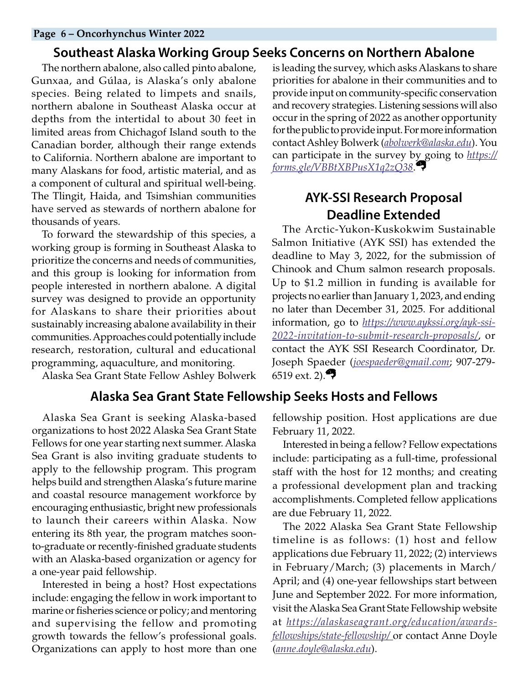#### **Page 6 – Oncorhynchus Winter 2022**

## <span id="page-5-0"></span>**Southeast Alaska Working Group Seeks Concerns on Northern Abalone**

The northern abalone, also called pinto abalone, Gunxaa, and Gúlaa, is Alaska's only abalone species. Being related to limpets and snails, northern abalone in Southeast Alaska occur at depths from the intertidal to about 30 feet in limited areas from Chichagof Island south to the Canadian border, although their range extends to California. Northern abalone are important to many Alaskans for food, artistic material, and as a component of cultural and spiritual well-being. The Tlingit, Haida, and Tsimshian communities have served as stewards of northern abalone for thousands of years.

To forward the stewardship of this species, a working group is forming in Southeast Alaska to prioritize the concerns and needs of communities, and this group is looking for information from people interested in northern abalone. A digital survey was designed to provide an opportunity for Alaskans to share their priorities about sustainably increasing abalone availability in their communities. Approaches could potentially include research, restoration, cultural and educational programming, aquaculture, and monitoring.

Alaska Sea Grant State Fellow Ashley Bolwerk

## **Alaska Sea Grant State Fellowship Seeks Hosts and Fellows**

Alaska Sea Grant is seeking Alaska-based organizations to host 2022 Alaska Sea Grant State Fellows for one year starting next summer. Alaska Sea Grant is also inviting graduate students to apply to the fellowship program. This program helps build and strengthen Alaska's future marine and coastal resource management workforce by encouraging enthusiastic, bright new professionals to launch their careers within Alaska. Now entering its 8th year, the program matches soonto-graduate or recently-finished graduate students with an Alaska-based organization or agency for a one-year paid fellowship.

Interested in being a host? Host expectations include: engaging the fellow in work important to marine or fisheries science or policy; and mentoring and supervising the fellow and promoting growth towards the fellow's professional goals. Organizations can apply to host more than one

is leading the survey, which asks Alaskans to share priorities for abalone in their communities and to provide input on community-specific conservation and recovery strategies. Listening sessions will also occur in the spring of 2022 as another opportunity for the public to provide input. For more information contact Ashley Bolwerk (*[abolwerk@alaska.edu](mailto:abolwerk%40alaska.edu?subject=)*). You can participate in the survey by going to *[https://](https://forms.gle/VBBtXBPusX1q2zQ38) [forms.gle/VBBtXBPusX1q2zQ38](https://forms.gle/VBBtXBPusX1q2zQ38)*.

# **AYK-SSI Research Proposal Deadline Extended**

The Arctic-Yukon-Kuskokwim Sustainable Salmon Initiative (AYK SSI) has extended the deadline to May 3, 2022, for the submission of Chinook and Chum salmon research proposals. Up to \$1.2 million in funding is available for projects no earlier than January 1, 2023, and ending no later than December 31, 2025. For additional information, go to *[https://www.aykssi.org/ayk-ssi-](https://www.aykssi.org/ayk-ssi-2022-invitation-to-submit-research-proposals/)[2022-invitation-to-submit-research-proposals/](https://www.aykssi.org/ayk-ssi-2022-invitation-to-submit-research-proposals/)*, or contact the AYK SSI Research Coordinator, Dr. Joseph Spaeder (*[joespaeder@gmail.com](mailto:joespaeder%40gmail.com?subject=)*; 907-279- 6519 ext. 2). $\bullet$ 

fellowship position. Host applications are due February 11, 2022.

Interested in being a fellow? Fellow expectations include: participating as a full-time, professional staff with the host for 12 months; and creating a professional development plan and tracking accomplishments. Completed fellow applications are due February 11, 2022.

The 2022 Alaska Sea Grant State Fellowship timeline is as follows: (1) host and fellow applications due February 11, 2022; (2) interviews in February/March; (3) placements in March/ April; and (4) one-year fellowships start between June and September 2022. For more information, visit the Alaska Sea Grant State Fellowship website at *[https://alaskaseagrant.org/education/awards](https://alaskaseagrant.org/education/awards-fellowships/state-fellowship/ )[fellowships/state-fellowship/](https://alaskaseagrant.org/education/awards-fellowships/state-fellowship/ )* or contact Anne Doyle (*[anne.doyle@alaska.edu](mailto:anne.doyle%40alaska.edu?subject=)*).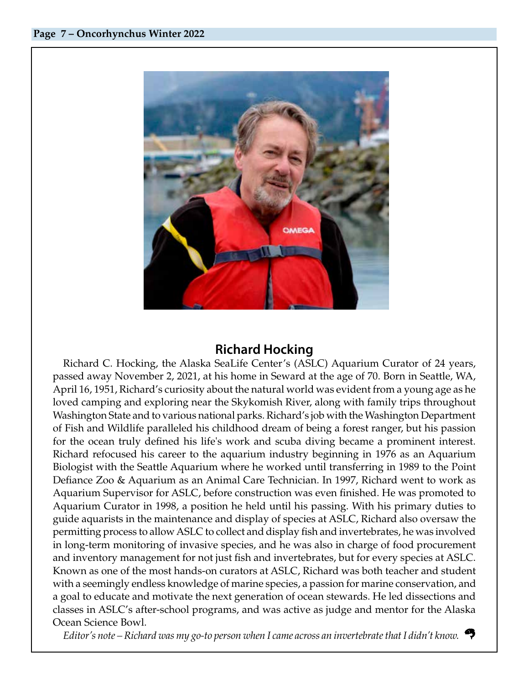

# <span id="page-6-0"></span>**Richard Hocking**

Richard C. Hocking, the Alaska SeaLife Center's (ASLC) Aquarium Curator of 24 years, passed away November 2, 2021, at his home in Seward at the age of 70. Born in Seattle, WA, April 16, 1951, Richard's curiosity about the natural world was evident from a young age as he loved camping and exploring near the Skykomish River, along with family trips throughout Washington State and to various national parks. Richard's job with the Washington Department of Fish and Wildlife paralleled his childhood dream of being a forest ranger, but his passion for the ocean truly defined his life's work and scuba diving became a prominent interest. Richard refocused his career to the aquarium industry beginning in 1976 as an Aquarium Biologist with the Seattle Aquarium where he worked until transferring in 1989 to the Point Defiance Zoo & Aquarium as an Animal Care Technician. In 1997, Richard went to work as Aquarium Supervisor for ASLC, before construction was even finished. He was promoted to Aquarium Curator in 1998, a position he held until his passing. With his primary duties to guide aquarists in the maintenance and display of species at ASLC, Richard also oversaw the permitting process to allow ASLC to collect and display fish and invertebrates, he was involved in long-term monitoring of invasive species, and he was also in charge of food procurement and inventory management for not just fish and invertebrates, but for every species at ASLC. Known as one of the most hands-on curators at ASLC, Richard was both teacher and student with a seemingly endless knowledge of marine species, a passion for marine conservation, and a goal to educate and motivate the next generation of ocean stewards. He led dissections and classes in ASLC's after-school programs, and was active as judge and mentor for the Alaska Ocean Science Bowl.

*Editor's note – Richard was my go-to person when I came across an invertebrate that I didn't know.*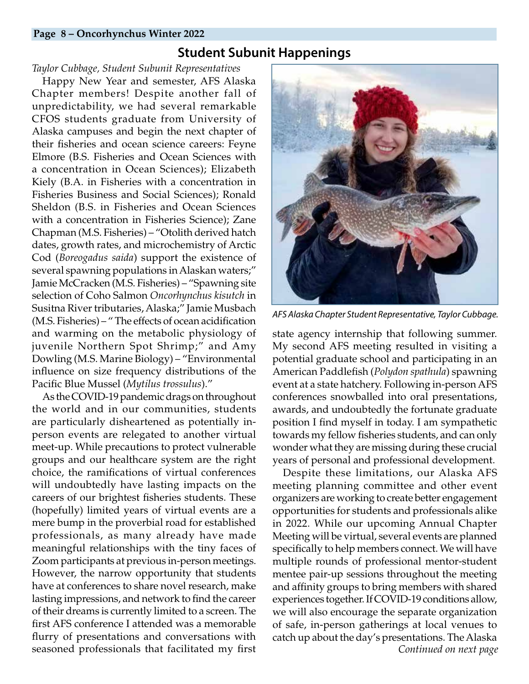#### **Page 8 – Oncorhynchus Winter 2022**

## **Student Subunit Happenings**

#### *Taylor Cubbage, Student Subunit Representatives*

Happy New Year and semester, AFS Alaska Chapter members! Despite another fall of unpredictability, we had several remarkable CFOS students graduate from University of Alaska campuses and begin the next chapter of their fisheries and ocean science careers: Feyne Elmore (B.S. Fisheries and Ocean Sciences with a concentration in Ocean Sciences); Elizabeth Kiely (B.A. in Fisheries with a concentration in Fisheries Business and Social Sciences); Ronald Sheldon (B.S. in Fisheries and Ocean Sciences with a concentration in Fisheries Science); Zane Chapman (M.S. Fisheries) – "Otolith derived hatch dates, growth rates, and microchemistry of Arctic Cod (*Boreogadus saida*) support the existence of several spawning populations in Alaskan waters;" Jamie McCracken (M.S. Fisheries) – "Spawning site selection of Coho Salmon *Oncorhynchus kisutch* in Susitna River tributaries, Alaska;" Jamie Musbach (M.S. Fisheries) – " The effects of ocean acidification and warming on the metabolic physiology of juvenile Northern Spot Shrimp;" and Amy Dowling (M.S. Marine Biology) – "Environmental influence on size frequency distributions of the Pacific Blue Mussel (*Mytilus trossulus*)."

As the COVID-19 pandemic drags on throughout the world and in our communities, students are particularly disheartened as potentially inperson events are relegated to another virtual meet-up. While precautions to protect vulnerable groups and our healthcare system are the right choice, the ramifications of virtual conferences will undoubtedly have lasting impacts on the careers of our brightest fisheries students. These (hopefully) limited years of virtual events are a mere bump in the proverbial road for established professionals, as many already have made meaningful relationships with the tiny faces of Zoom participants at previous in-person meetings. However, the narrow opportunity that students have at conferences to share novel research, make lasting impressions, and network to find the career of their dreams is currently limited to a screen. The first AFS conference I attended was a memorable flurry of presentations and conversations with seasoned professionals that facilitated my first

<span id="page-7-0"></span>

*AFS Alaska Chapter Student Representative, Taylor Cubbage.*

state agency internship that following summer. My second AFS meeting resulted in visiting a potential graduate school and participating in an American Paddlefish (*Polydon spathula*) spawning event at a state hatchery. Following in-person AFS conferences snowballed into oral presentations, awards, and undoubtedly the fortunate graduate position I find myself in today. I am sympathetic towards my fellow fisheries students, and can only wonder what they are missing during these crucial years of personal and professional development.

*Continued on next page* Despite these limitations, our Alaska AFS meeting planning committee and other event organizers are working to create better engagement opportunities for students and professionals alike in 2022. While our upcoming Annual Chapter Meeting will be virtual, several events are planned specifically to help members connect. We will have multiple rounds of professional mentor-student mentee pair-up sessions throughout the meeting and affinity groups to bring members with shared experiences together. If COVID-19 conditions allow, we will also encourage the separate organization of safe, in-person gatherings at local venues to catch up about the day's presentations. The Alaska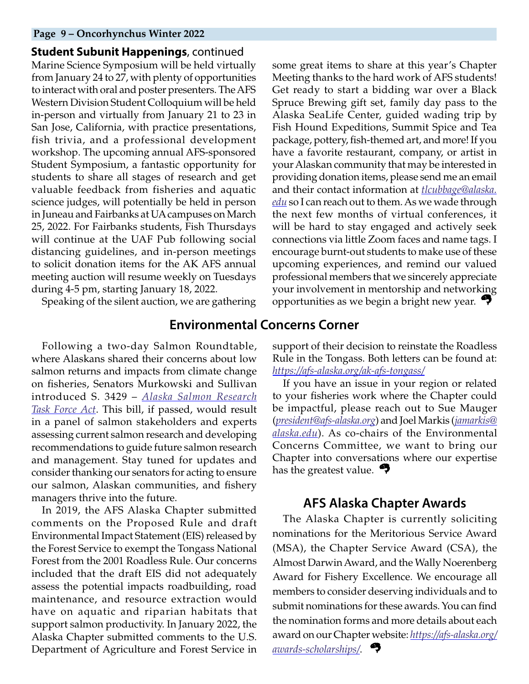#### **Page 9 – Oncorhynchus Winter 2022**

**Student Subunit Happenings**, continued Marine Science Symposium will be held virtually from January 24 to 27, with plenty of opportunities to interact with oral and poster presenters. The AFS Western Division Student Colloquium will be held in-person and virtually from January 21 to 23 in San Jose, California, with practice presentations, fish trivia, and a professional development workshop. The upcoming annual AFS-sponsored Student Symposium, a fantastic opportunity for students to share all stages of research and get valuable feedback from fisheries and aquatic science judges, will potentially be held in person in Juneau and Fairbanks at UA campuses on March 25, 2022. For Fairbanks students, Fish Thursdays will continue at the UAF Pub following social distancing guidelines, and in-person meetings to solicit donation items for the AK AFS annual meeting auction will resume weekly on Tuesdays during 4-5 pm, starting January 18, 2022.

Speaking of the silent auction, we are gathering

some great items to share at this year's Chapter Meeting thanks to the hard work of AFS students! Get ready to start a bidding war over a Black Spruce Brewing gift set, family day pass to the Alaska SeaLife Center, guided wading trip by Fish Hound Expeditions, Summit Spice and Tea package, pottery, fish-themed art, and more! If you have a favorite restaurant, company, or artist in your Alaskan community that may be interested in providing donation items, please send me an email and their contact information at *[tlcubbage@alaska.](mailto:tlcubbage%40alaska.edu?subject=) [edu](mailto:tlcubbage%40alaska.edu?subject=)* so I can reach out to them. As we wade through the next few months of virtual conferences, it will be hard to stay engaged and actively seek connections via little Zoom faces and name tags. I encourage burnt-out students to make use of these upcoming experiences, and remind our valued professional members that we sincerely appreciate your involvement in mentorship and networking opportunities as we begin a bright new year.

## **Environmental Concerns Corner**

Following a two-day Salmon Roundtable, where Alaskans shared their concerns about low salmon returns and impacts from climate change on fisheries, Senators Murkowski and Sullivan introduced S. 3429 – *[Alaska Salmon Research](https://www.congress.gov/bill/117th-congress/senate-bill/3429?s=1&r=33) [Task Force Act](https://www.congress.gov/bill/117th-congress/senate-bill/3429?s=1&r=33)*. This bill, if passed, would result in a panel of salmon stakeholders and experts assessing current salmon research and developing recommendations to guide future salmon research and management. Stay tuned for updates and consider thanking our senators for acting to ensure our salmon, Alaskan communities, and fishery managers thrive into the future.

In 2019, the AFS Alaska Chapter submitted comments on the Proposed Rule and draft Environmental Impact Statement (EIS) released by the Forest Service to exempt the Tongass National Forest from the 2001 Roadless Rule. Our concerns included that the draft EIS did not adequately assess the potential impacts roadbuilding, road maintenance, and resource extraction would have on aquatic and riparian habitats that support salmon productivity. In January 2022, the Alaska Chapter submitted comments to the U.S. Department of Agriculture and Forest Service in support of their decision to reinstate the Roadless Rule in the Tongass. Both letters can be found at: *<https://afs-alaska.org/ak-afs-tongass/>*

If you have an issue in your region or related to your fisheries work where the Chapter could be impactful, please reach out to Sue Mauger (*[president@afs-alaska.org](mailto:president%40afs-alaska.org?subject=)*) and Joel Markis (*[jamarkis@](mailto:jamarkis%40alaska.edu?subject=) [alaska.edu](mailto:jamarkis%40alaska.edu?subject=)*). As co-chairs of the Environmental Concerns Committee, we want to bring our Chapter into conversations where our expertise has the greatest value.  $\bullet$ 

## <span id="page-8-0"></span>**AFS Alaska Chapter Awards**

The Alaska Chapter is currently soliciting nominations for the Meritorious Service Award (MSA), the Chapter Service Award (CSA), the Almost Darwin Award, and the Wally Noerenberg Award for Fishery Excellence. We encourage all members to consider deserving individuals and to submit nominations for these awards. You can find the nomination forms and more details about each award on our Chapter website: *[https://afs-alaska.org/](https://afs-alaska.org/awards-scholarships/) [awards-scholarships/](https://afs-alaska.org/awards-scholarships/)*.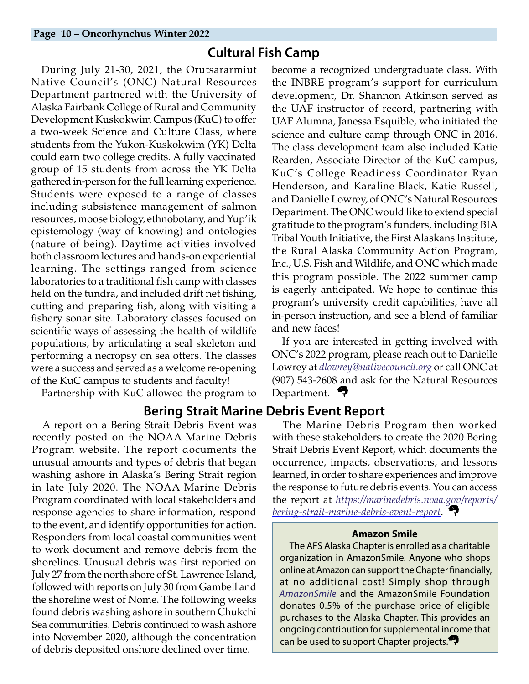# **Cultural Fish Camp**

During July 21-30, 2021, the Orutsararmiut Native Council's (ONC) Natural Resources Department partnered with the University of Alaska Fairbank College of Rural and Community Development Kuskokwim Campus (KuC) to offer a two-week Science and Culture Class, where students from the Yukon-Kuskokwim (YK) Delta could earn two college credits. A fully vaccinated group of 15 students from across the YK Delta gathered in-person for the full learning experience. Students were exposed to a range of classes including subsistence management of salmon resources, moose biology, ethnobotany, and Yup'ik epistemology (way of knowing) and ontologies (nature of being). Daytime activities involved both classroom lectures and hands-on experiential learning. The settings ranged from science laboratories to a traditional fish camp with classes held on the tundra, and included drift net fishing, cutting and preparing fish, along with visiting a fishery sonar site. Laboratory classes focused on scientific ways of assessing the health of wildlife populations, by articulating a seal skeleton and performing a necropsy on sea otters. The classes were a success and served as a welcome re-opening of the KuC campus to students and faculty!

Partnership with KuC allowed the program to

## **Bering Strait Marine Debris Event Report**

A report on a Bering Strait Debris Event was recently posted on the NOAA Marine Debris Program website. The report documents the unusual amounts and types of debris that began washing ashore in Alaska's Bering Strait region in late July 2020. The NOAA Marine Debris Program coordinated with local stakeholders and response agencies to share information, respond to the event, and identify opportunities for action. Responders from local coastal communities went to work document and remove debris from the shorelines. Unusual debris was first reported on July 27 from the north shore of St. Lawrence Island, followed with reports on July 30 from Gambell and the shoreline west of Nome. The following weeks found debris washing ashore in southern Chukchi Sea communities. Debris continued to wash ashore into November 2020, although the concentration of debris deposited onshore declined over time.

<span id="page-9-0"></span>become a recognized undergraduate class. With the INBRE program's support for curriculum development, Dr. Shannon Atkinson served as the UAF instructor of record, partnering with UAF Alumna, Janessa Esquible, who initiated the science and culture camp through ONC in 2016. The class development team also included Katie Rearden, Associate Director of the KuC campus, KuC's College Readiness Coordinator Ryan Henderson, and Karaline Black, Katie Russell, and Danielle Lowrey, of ONC's Natural Resources Department. The ONC would like to extend special gratitude to the program's funders, including BIA Tribal Youth Initiative, the First Alaskans Institute, the Rural Alaska Community Action Program, Inc., U.S. Fish and Wildlife, and ONC which made this program possible. The 2022 summer camp is eagerly anticipated. We hope to continue this program's university credit capabilities, have all in-person instruction, and see a blend of familiar and new faces!

If you are interested in getting involved with ONC's 2022 program, please reach out to Danielle Lowrey at *[dlowrey@nativecouncil.org](mailto:dlowrey%40nativecouncil.org?subject=)* or call ONC at (907) 543-2608 and ask for the Natural Resources Department.

The Marine Debris Program then worked with these stakeholders to create the 2020 Bering Strait Debris Event Report, which documents the occurrence, impacts, observations, and lessons learned, in order to share experiences and improve the response to future debris events. You can access the report at *[https://marinedebris.noaa.gov/reports/](https://marinedebris.noaa.gov/reports/bering-strait-marine-debris-event-report) [bering-strait-marine-debris-event-report](https://marinedebris.noaa.gov/reports/bering-strait-marine-debris-event-report)*.

#### **Amazon Smile**

The AFS Alaska Chapter is enrolled as a charitable organization in AmazonSmile. Anyone who shops online at Amazon can support the Chapter financially, at no additional cost! Simply shop through *[AmazonSmile](https://smile.amazon.com/)* and the AmazonSmile Foundation donates 0.5% of the purchase price of eligible purchases to the Alaska Chapter. This provides an ongoing contribution for supplemental income that can be used to support Chapter projects.<sup>27</sup>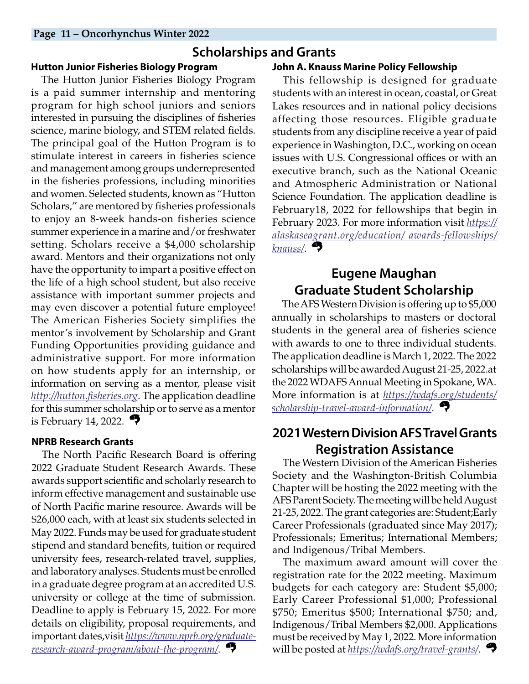## **Scholarships and Grants**

#### **Hutton Junior Fisheries Biology Program**

The Hutton Junior Fisheries Biology Program is a paid summer internship and mentoring program for high school juniors and seniors interested in pursuing the disciplines of fisheries science, marine biology, and STEM related fields. The principal goal of the Hutton Program is to stimulate interest in careers in fisheries science and management among groups underrepresented in the fisheries professions, including minorities and women. Selected students, known as "Hutton Scholars," are mentored by fisheries professionals to enjoy an 8-week hands-on fisheries science summer experience in a marine and/or freshwater setting. Scholars receive a \$4,000 scholarship award. Mentors and their organizations not only have the opportunity to impart a positive effect on the life of a high school student, but also receive assistance with important summer projects and may even discover a potential future employee! The American Fisheries Society simplifies the mentor's involvement by Scholarship and Grant Funding Opportunities providing guidance and administrative support. For more information on how students apply for an internship, or information on serving as a mentor, please visit *<http://hutton.fisheries.org>*. The application deadline for this summer scholarship or to serve as a mentor is February 14, 2022.  $\rightarrow$ 

#### **NPRB Research Grants**

The North Pacific Research Board is offering 2022 Graduate Student Research Awards. These awards support scientific and scholarly research to inform effective management and sustainable use of North Pacific marine resource. Awards will be \$26,000 each, with at least six students selected in May 2022. Funds may be used for graduate student stipend and standard benefits, tuition or required university fees, research-related travel, supplies, and laboratory analyses. Students must be enrolled in a graduate degree program at an accredited U.S. university or college at the time of submission. Deadline to apply is February 15, 2022. For more details on eligibility, proposal requirements, and important dates,visit *[https://www.nprb.org/graduate](https://www.nprb.org/graduate-research-award-program/about-the-program/)[research-award-program/about-the-program/](https://www.nprb.org/graduate-research-award-program/about-the-program/)*.

#### <span id="page-10-0"></span>**John A. Knauss Marine Policy Fellowship**

This fellowship is designed for graduate students with an interest in ocean, coastal, or Great Lakes resources and in national policy decisions affecting those resources. Eligible graduate students from any discipline receive a year of paid experience in Washington, D.C., working on ocean issues with U.S. Congressional offices or with an executive branch, such as the National Oceanic and Atmospheric Administration or National Science Foundation. The application deadline is February18, 2022 for fellowships that begin in February 2023. For more information visit *[https://](https://alaskaseagrant.org/education/awards-fellowships/knauss/) [alaskaseagrant.org/education/ awards-fellowships/](https://alaskaseagrant.org/education/awards-fellowships/knauss/) [knauss/](https://alaskaseagrant.org/education/awards-fellowships/knauss/)*.

# **Eugene Maughan Graduate Student Scholarship**

The AFS Western Division is offering up to \$5,000 annually in scholarships to masters or doctoral students in the general area of fisheries science with awards to one to three individual students. The application deadline is March 1, 2022. The 2022 scholarships will be awarded August 21-25, 2022.at the 2022 WDAFS Annual Meeting in Spokane, WA. More information is at *[https://wdafs.org/students/](https://wdafs.org/students/scholarship-travel-award-information/) [scholarship-travel-award-information/](https://wdafs.org/students/scholarship-travel-award-information/)*.

# **2021 Western Division AFS Travel Grants Registration Assistance**

The Western Division of the American Fisheries Society and the Washington-British Columbia Chapter will be hosting the 2022 meeting with the AFS Parent Society. The meeting will be held August 21-25, 2022. The grant categories are: Student;Early Career Professionals (graduated since May 2017); Professionals; Emeritus; International Members; and Indigenous/Tribal Members.

The maximum award amount will cover the registration rate for the 2022 meeting. Maximum budgets for each category are: Student \$5,000; Early Career Professional \$1,000; Professional \$750; Emeritus \$500; International \$750; and, Indigenous/Tribal Members \$2,000. Applications must be received by May 1, 2022. More information will be posted at *<https://wdafs.org/travel-grants/>*.